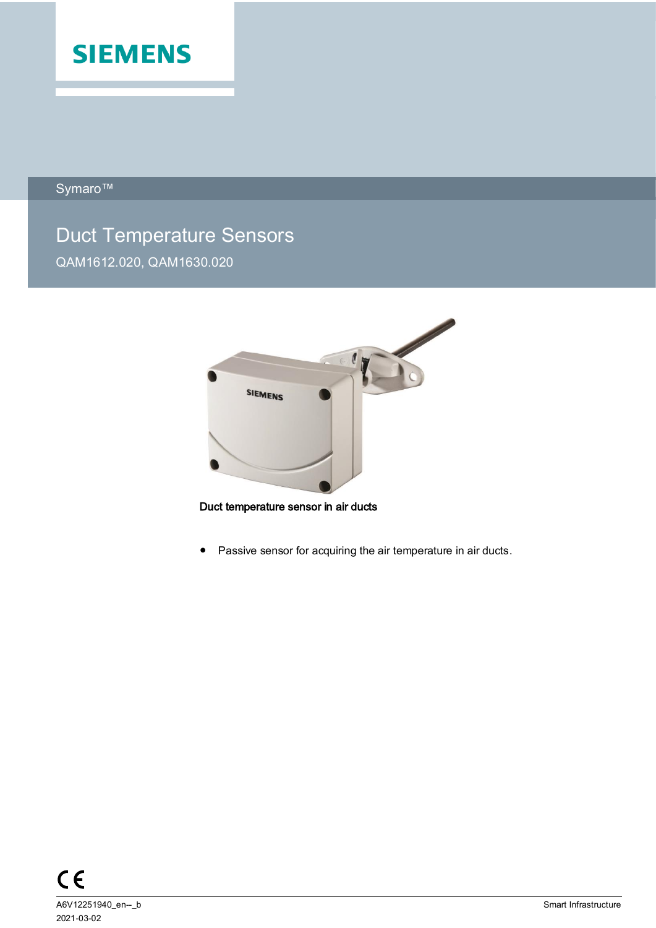

Symaro™

# Duct Temperature Sensors QAM1612.020, QAM1630.020



Duct temperature sensor in air ducts

● Passive sensor for acquiring the air temperature in air ducts.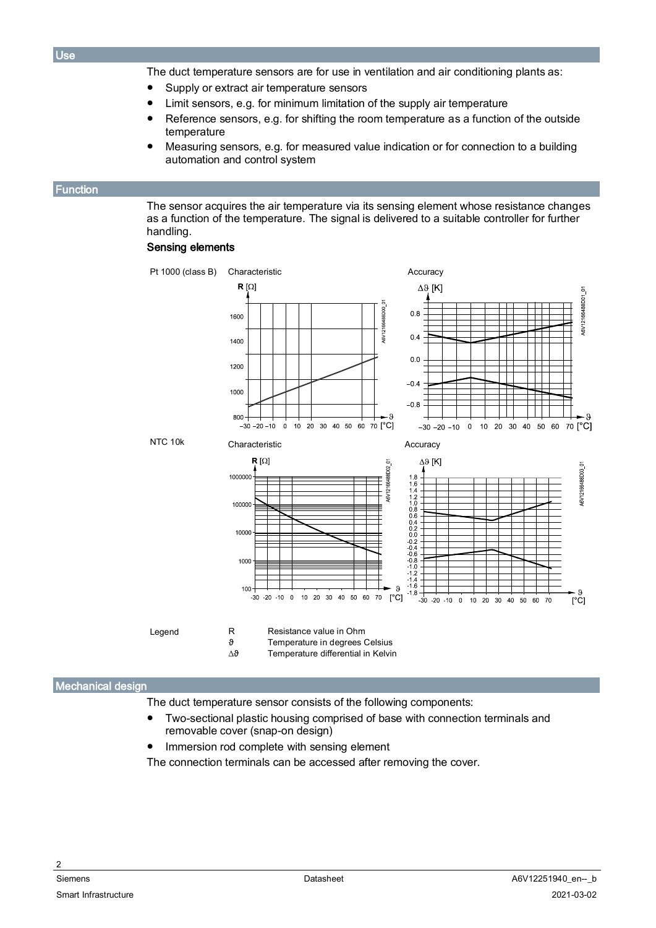The duct temperature sensors are for use in ventilation and air conditioning plants as:

- Supply or extract air temperature sensors
- Limit sensors, e.g. for minimum limitation of the supply air temperature
- Reference sensors, e.g. for shifting the room temperature as a function of the outside temperature
- Measuring sensors, e.g. for measured value indication or for connection to a building automation and control system

#### <span id="page-1-0"></span>Function

The sensor acquires the air temperature via its sensing element whose resistance changes as a function of the temperature. The signal is delivered to a suitable controller for further handling.

## Sensing elements



| Legend | R | Resistance value in Ohm        |
|--------|---|--------------------------------|
|        |   | Temperature in degrees Celsius |

∆ϑ Temperature differential in Kelvin

## Mechanical design

The duct temperature sensor consists of the following components:

- Two-sectional plastic housing comprised of base with connection terminals and removable cover (snap-on design)
- Immersion rod complete with sensing element

The connection terminals can be accessed after removing the cover.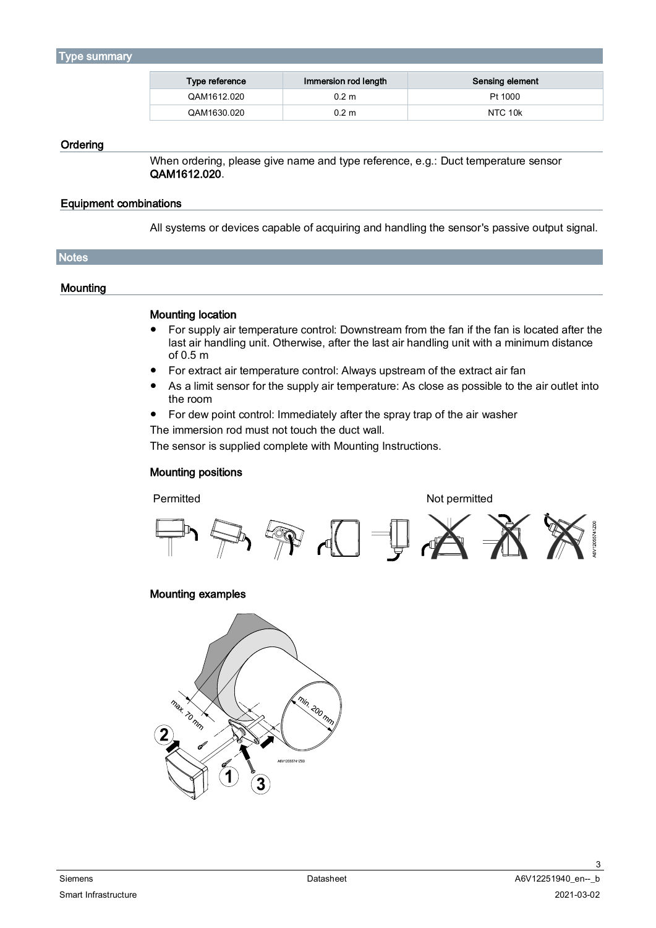#### <span id="page-2-0"></span>Type summary

| Type reference | Immersion rod length | Sensing element |
|----------------|----------------------|-----------------|
| QAM1612.020    | 0.2 <sub>m</sub>     | Pt 1000         |
| QAM1630.020    | 0.2 <sub>m</sub>     | NTC 10k         |

#### **Ordering**

When ordering, please give name and type reference, e.g.: Duct temperature sensor QAM1612.020.

## Equipment combinations

All systems or devices capable of acquiring and handling the sensor's passive output signal.

| Notes <sup>1</sup> |  |  |
|--------------------|--|--|
|                    |  |  |

## **Mounting**

## Mounting location

- For supply air temperature control: Downstream from the fan if the fan is located after the last air handling unit. Otherwise, after the last air handling unit with a minimum distance of 0.5 m
- For extract air temperature control: Always upstream of the extract air fan
- As a limit sensor for the supply air temperature: As close as possible to the air outlet into the room
- For dew point control: Immediately after the spray trap of the air washer

The immersion rod must not touch the duct wall.

The sensor is supplied complete with Mounting Instructions.

# Mounting positions

#### Permitted Not permitted



# Mounting examples



3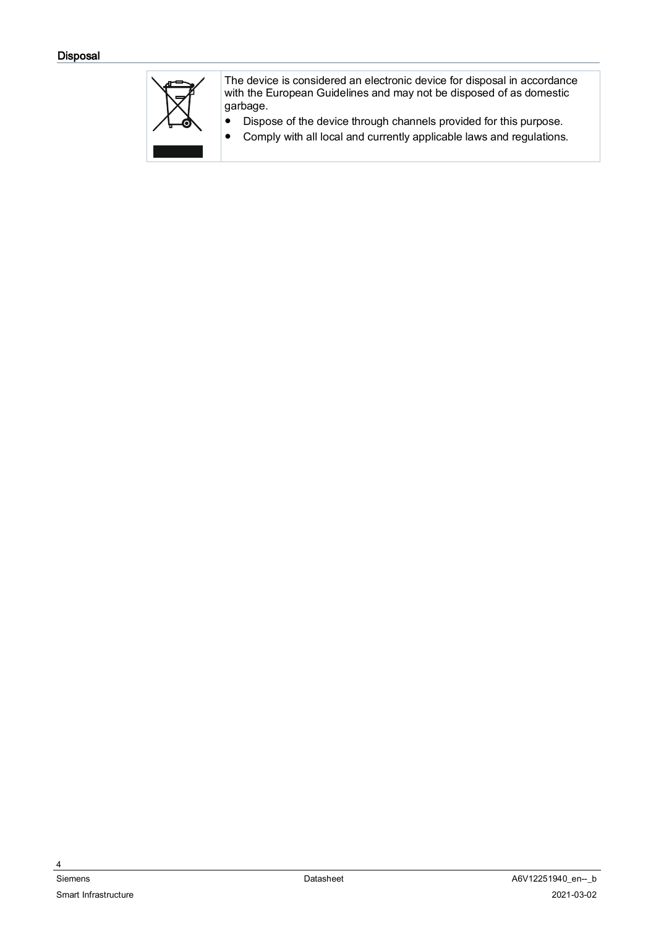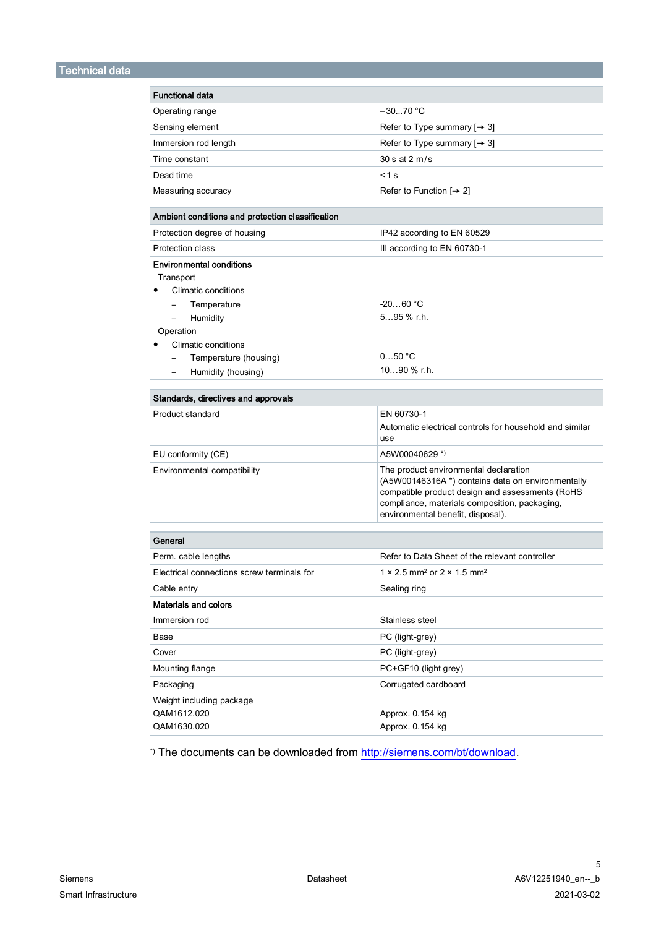| <b>Functional data</b>                           |                                                                                                                                                                                                                                     |  |  |  |
|--------------------------------------------------|-------------------------------------------------------------------------------------------------------------------------------------------------------------------------------------------------------------------------------------|--|--|--|
| Operating range                                  | $-3070 °C$                                                                                                                                                                                                                          |  |  |  |
| Sensing element                                  | Refer to Type summary $[\rightarrow 3]$                                                                                                                                                                                             |  |  |  |
|                                                  | Refer to Type summary $[\rightarrow 3]$                                                                                                                                                                                             |  |  |  |
| Immersion rod length                             |                                                                                                                                                                                                                                     |  |  |  |
| Time constant                                    | 30 s at 2 m/s                                                                                                                                                                                                                       |  |  |  |
| Dead time                                        | < 1 s                                                                                                                                                                                                                               |  |  |  |
| Measuring accuracy                               | Refer to Function $[\rightarrow 2]$                                                                                                                                                                                                 |  |  |  |
| Ambient conditions and protection classification |                                                                                                                                                                                                                                     |  |  |  |
| Protection degree of housing                     | IP42 according to EN 60529                                                                                                                                                                                                          |  |  |  |
| <b>Protection class</b>                          | III according to EN 60730-1                                                                                                                                                                                                         |  |  |  |
| <b>Environmental conditions</b>                  |                                                                                                                                                                                                                                     |  |  |  |
| Transport                                        |                                                                                                                                                                                                                                     |  |  |  |
| Climatic conditions<br>$\bullet$                 |                                                                                                                                                                                                                                     |  |  |  |
| Temperature<br>$\qquad \qquad -$                 | $-2060 °C$                                                                                                                                                                                                                          |  |  |  |
| Humidity<br>$\overline{\phantom{0}}$             | $595$ % r.h.                                                                                                                                                                                                                        |  |  |  |
| Operation                                        |                                                                                                                                                                                                                                     |  |  |  |
| Climatic conditions                              |                                                                                                                                                                                                                                     |  |  |  |
| Temperature (housing)<br>$\qquad \qquad -$       | 050 °C                                                                                                                                                                                                                              |  |  |  |
| Humidity (housing)<br>$\qquad \qquad -$          | $1090$ % r.h.                                                                                                                                                                                                                       |  |  |  |
| Standards, directives and approvals              |                                                                                                                                                                                                                                     |  |  |  |
| Product standard                                 | EN 60730-1<br>Automatic electrical controls for household and similar<br>use                                                                                                                                                        |  |  |  |
| EU conformity (CE)                               | A5W00040629 *)                                                                                                                                                                                                                      |  |  |  |
| Environmental compatibility                      | The product environmental declaration<br>(A5W00146316A *) contains data on environmentally<br>compatible product design and assessments (RoHS<br>compliance, materials composition, packaging,<br>environmental benefit, disposal). |  |  |  |
| General                                          |                                                                                                                                                                                                                                     |  |  |  |
| Perm. cable lengths                              | Refer to Data Sheet of the relevant controller                                                                                                                                                                                      |  |  |  |
| Electrical connections screw terminals for       | 1 × 2.5 mm <sup>2</sup> or 2 × 1.5 mm <sup>2</sup>                                                                                                                                                                                  |  |  |  |
| Cable entry                                      | Sealing ring                                                                                                                                                                                                                        |  |  |  |
| <b>Materials and colors</b>                      |                                                                                                                                                                                                                                     |  |  |  |
| Immersion rod                                    | Stainless steel                                                                                                                                                                                                                     |  |  |  |
| Base                                             | PC (light-grey)                                                                                                                                                                                                                     |  |  |  |
| Cover                                            | PC (light-grey)                                                                                                                                                                                                                     |  |  |  |
| Mounting flange                                  | PC+GF10 (light grey)                                                                                                                                                                                                                |  |  |  |
| Packaging                                        | Corrugated cardboard                                                                                                                                                                                                                |  |  |  |
| Weight including package                         |                                                                                                                                                                                                                                     |  |  |  |
| QAM1612.020                                      | Approx. 0.154 kg                                                                                                                                                                                                                    |  |  |  |
| QAM1630.020                                      | Approx. 0.154 kg                                                                                                                                                                                                                    |  |  |  |

\*) The documents can be downloaded fro[m http://siemens.com/bt/download.](http://siemens.com/bt/download)